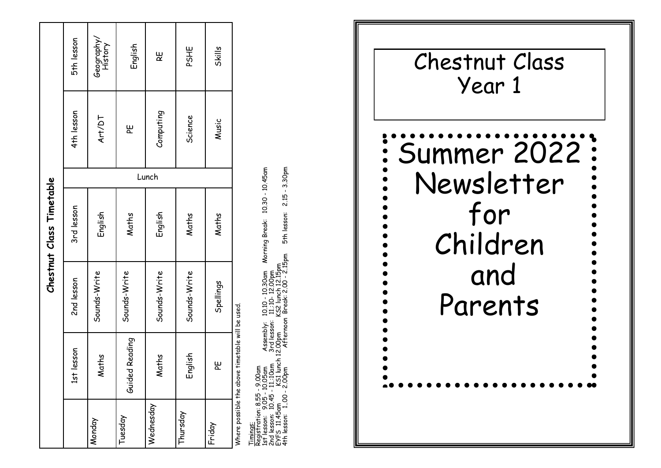|           |                                                  |              | Chestnut Class Timetable |       |            |                       |
|-----------|--------------------------------------------------|--------------|--------------------------|-------|------------|-----------------------|
|           | lesson<br>151                                    | 2nd lesson   | 3rd lesson               |       | 4th lesson | 5th lesson            |
| Monday    | Maths                                            | Sounds-Write | English                  |       | Art/DT     | Geography/<br>History |
| uesday    | Guided Reading                                   | Sounds-Write | Maths                    |       | بو<br>م    | English               |
| Wednesday | Maths                                            | Sounds-Write | English                  | Lunch | Computing  | ξ                     |
| hursday   | English                                          | Sounds-Write | Maths                    |       | Science    | PSHE                  |
| Friday    | ۳                                                | Spellings    | Maths                    |       | Music      | <b>Skills</b>         |
|           | Where possible the above timetable will be used. |              |                          |       |            |                       |

3.30pm Registration: 8.55 - 9.00am<br>1st lesson: 9.05 - 10.05am Assembly: 10.10 - 10.30am Morning Break: 10.30 - 10.45am<br>2nd lesson: 10.45 - 11.:10am 3rd lesson: 11.:10- 12.00pm<br>EYFS 11.45am KS1 lunc  $-10.45$ am 2.15 10.30 5th lesson: Morning Break: Timings: